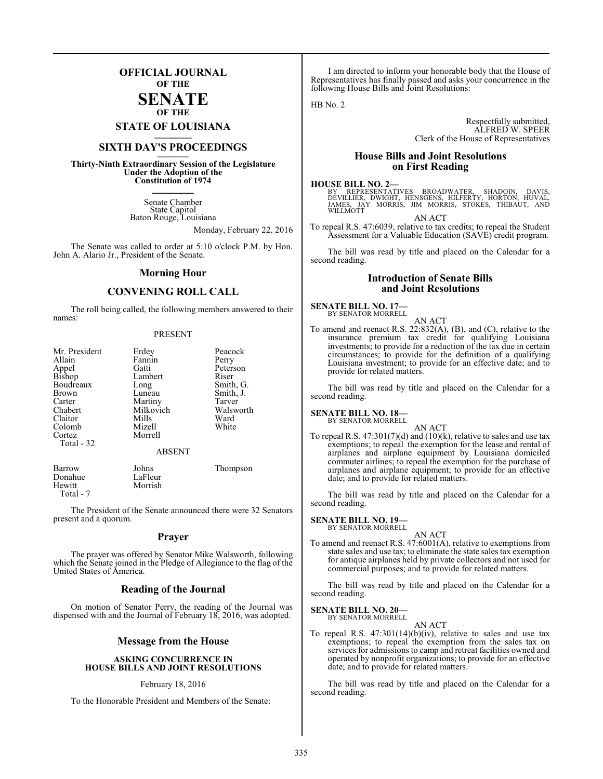### **OFFICIAL JOURNAL OF THE**

### **SENATE OF THE**

**STATE OF LOUISIANA \_\_\_\_\_\_\_**

### **SIXTH DAY'S PROCEEDINGS \_\_\_\_\_\_\_**

**Thirty-Ninth Extraordinary Session of the Legislature Under the Adoption of the Constitution of 1974 \_\_\_\_\_\_\_**

> Senate Chamber State Capitol Baton Rouge, Louisiana

> > Monday, February 22, 2016

The Senate was called to order at 5:10 o'clock P.M. by Hon. John A. Alario Jr., President of the Senate.

### **Morning Hour**

### **CONVENING ROLL CALL**

The roll being called, the following members answered to their names:

### PRESENT

| Mr. President   | Erdey         | Peacock   |
|-----------------|---------------|-----------|
| Allain          | Fannin        | Perry     |
|                 | Gatti         | Peterson  |
| Appel<br>Bishop | Lambert       | Riser     |
| Boudreaux       | Long          | Smith, G. |
| Brown           | Luneau        | Smith, J. |
| Carter          | Martiny       | Tarver    |
| Chabert         | Milkovich     | Walsworth |
| Claitor         | Mills         | Ward      |
| Colomb          | Mizell        | White     |
| Cortez          | Morrell       |           |
| Total - 32      |               |           |
|                 | <b>ABSENT</b> |           |

| Barrow    | Johns   | Thompson |
|-----------|---------|----------|
| Donahue   | LaFleur |          |
| Hewitt    | Morrish |          |
| Total - 7 |         |          |

The President of the Senate announced there were 32 Senators present and a quorum.

### **Prayer**

The prayer was offered by Senator Mike Walsworth, following which the Senate joined in the Pledge of Allegiance to the flag of the United States of America.

### **Reading of the Journal**

On motion of Senator Perry, the reading of the Journal was dispensed with and the Journal of February 18, 2016, was adopted.

### **Message from the House**

### **ASKING CONCURRENCE IN HOUSE BILLS AND JOINT RESOLUTIONS**

### February 18, 2016

To the Honorable President and Members of the Senate:

I am directed to inform your honorable body that the House of Representatives has finally passed and asks your concurrence in the following House Bills and Joint Resolutions:

 $HB$  No. 2

Respectfully submitted, ALFRED W. SPEER Clerk of the House of Representatives

### **House Bills and Joint Resolutions on First Reading**

### **HOUSE BILL NO. 2—**

BY REPRESENTATIVES BROADWATER, SHADOIN, DAVIS,<br>DEVILLIER, DWIGHT, HENSGENS, HILFERTY, HORTON, HUVAL,<br>JAMES, JAY MORRIS, JIM MORRIS, STOKES, THIBAUT, AND JAMES, JA<br>WILLMOTT

AN ACT To repeal R.S. 47:6039, relative to tax credits; to repeal the Student Assessment for a Valuable Education (SAVE) credit program.

The bill was read by title and placed on the Calendar for a second reading.

### **Introduction of Senate Bills and Joint Resolutions**

### **SENATE BILL NO. 17—** BY SENATOR MORRELL

AN ACT To amend and reenact R.S. 22:832(A), (B), and (C), relative to the insurance premium tax credit for qualifying Louisiana investments; to provide for a reduction of the tax due in certain circumstances; to provide for the definition of a qualifying Louisiana investment; to provide for an effective date; and to provide for related matters.

The bill was read by title and placed on the Calendar for a second reading.

#### **SENATE BILL NO. 18—** BY SENATOR MORRELL

- AN ACT
- To repeal R.S.  $47:301(7)(d)$  and  $(10)(k)$ , relative to sales and use tax exemptions; to repeal the exemption for the lease and rental of airplanes and airplane equipment by Louisiana domiciled commuter airlines; to repeal the exemption for the purchase of airplanes and airplane equipment; to provide for an effective date; and to provide for related matters.

The bill was read by title and placed on the Calendar for a second reading.

### **SENATE BILL NO. 19—** BY SENATOR MORRELL

AN ACT

To amend and reenact R.S. 47:6001(A), relative to exemptions from state sales and use tax; to eliminate the state sales tax exemption for antique airplanes held by private collectors and not used for commercial purposes; and to provide for related matters.

The bill was read by title and placed on the Calendar for a second reading.

#### **SENATE BILL NO. 20—** BY SENATOR MORRELL

AN ACT

To repeal R.S.  $47:301(14)(b)(iv)$ , relative to sales and use tax exemptions; to repeal the exemption from the sales tax on services for admissions to camp and retreat facilities owned and operated by nonprofit organizations; to provide for an effective date; and to provide for related matters.

The bill was read by title and placed on the Calendar for a second reading.